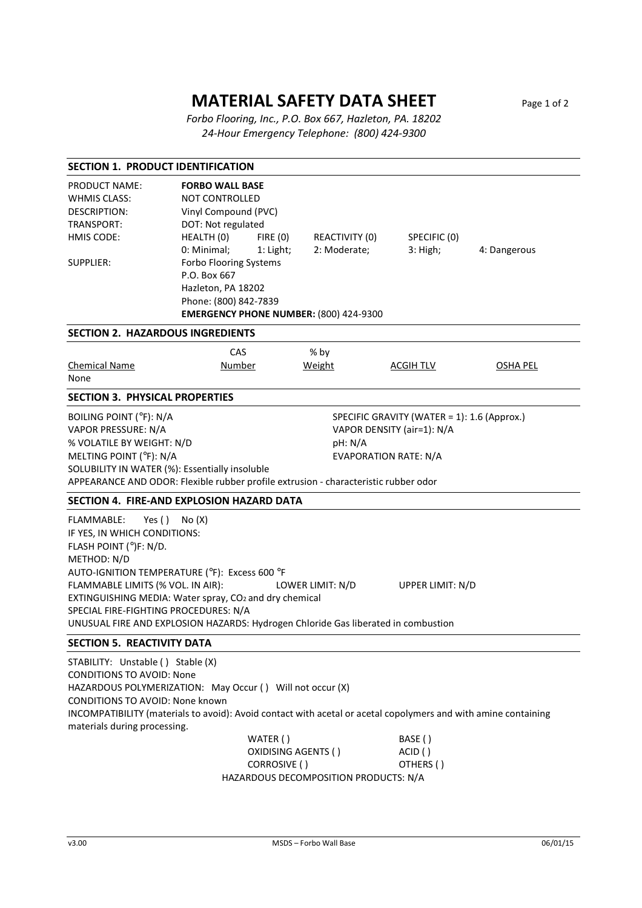## **MATERIAL SAFETY DATA SHEET** Page 1 of 2

 *Forbo Flooring, Inc., P.O. Box 667, Hazleton, PA. 18202 24-Hour Emergency Telephone: (800) 424-9300* 

| <b>SECTION 1. PRODUCT IDENTIFICATION</b>                                                                                                                                                                                                                                                                                                                                       |                                                                                                                                                                                                                                                                                       |                                       |                               |                 |  |
|--------------------------------------------------------------------------------------------------------------------------------------------------------------------------------------------------------------------------------------------------------------------------------------------------------------------------------------------------------------------------------|---------------------------------------------------------------------------------------------------------------------------------------------------------------------------------------------------------------------------------------------------------------------------------------|---------------------------------------|-------------------------------|-----------------|--|
| <b>PRODUCT NAME:</b><br><b>WHMIS CLASS:</b><br><b>DESCRIPTION:</b><br>TRANSPORT:<br>HMIS CODE:<br><b>SUPPLIER:</b>                                                                                                                                                                                                                                                             | <b>FORBO WALL BASE</b><br><b>NOT CONTROLLED</b><br>Vinyl Compound (PVC)<br>DOT: Not regulated<br>HEALTH (0)<br>FIRE(0)<br>0: Minimal;<br>1: Light;<br>Forbo Flooring Systems<br>P.O. Box 667<br>Hazleton, PA 18202<br>Phone: (800) 842-7839<br>EMERGENCY PHONE NUMBER: (800) 424-9300 | REACTIVITY (0)<br>2: Moderate;        | SPECIFIC (0)<br>$3:$ High;    | 4: Dangerous    |  |
| <b>SECTION 2. HAZARDOUS INGREDIENTS</b>                                                                                                                                                                                                                                                                                                                                        |                                                                                                                                                                                                                                                                                       |                                       |                               |                 |  |
| <b>Chemical Name</b><br>None                                                                                                                                                                                                                                                                                                                                                   | CAS<br>Number                                                                                                                                                                                                                                                                         | % by<br>Weight                        | <b>ACGIH TLV</b>              | <b>OSHA PEL</b> |  |
| <b>SECTION 3. PHYSICAL PROPERTIES</b>                                                                                                                                                                                                                                                                                                                                          |                                                                                                                                                                                                                                                                                       |                                       |                               |                 |  |
| <b>BOILING POINT (°F): N/A</b><br>SPECIFIC GRAVITY (WATER = 1): 1.6 (Approx.)<br>VAPOR PRESSURE: N/A<br>VAPOR DENSITY (air=1): N/A<br>% VOLATILE BY WEIGHT: N/D<br>pH: N/A<br>MELTING POINT (°F): N/A<br><b>EVAPORATION RATE: N/A</b><br>SOLUBILITY IN WATER (%): Essentially insoluble<br>APPEARANCE AND ODOR: Flexible rubber profile extrusion - characteristic rubber odor |                                                                                                                                                                                                                                                                                       |                                       |                               |                 |  |
| SECTION 4. FIRE-AND EXPLOSION HAZARD DATA                                                                                                                                                                                                                                                                                                                                      |                                                                                                                                                                                                                                                                                       |                                       |                               |                 |  |
| FLAMMABLE:<br>Yes $()$<br>IF YES, IN WHICH CONDITIONS:<br>FLASH POINT (°)F: N/D.<br>METHOD: N/D<br>AUTO-IGNITION TEMPERATURE (°F): Excess 600 °F<br>FLAMMABLE LIMITS (% VOL. IN AIR):<br>SPECIAL FIRE-FIGHTING PROCEDURES: N/A                                                                                                                                                 | No(X)<br>EXTINGUISHING MEDIA: Water spray, CO2 and dry chemical<br>UNUSUAL FIRE AND EXPLOSION HAZARDS: Hydrogen Chloride Gas liberated in combustion                                                                                                                                  | LOWER LIMIT: N/D                      | UPPER LIMIT: N/D              |                 |  |
| <b>SECTION 5. REACTIVITY DATA</b>                                                                                                                                                                                                                                                                                                                                              |                                                                                                                                                                                                                                                                                       |                                       |                               |                 |  |
| STABILITY: Unstable () Stable (X)<br><b>CONDITIONS TO AVOID: None</b><br><b>CONDITIONS TO AVOID: None known</b><br>materials during processing.                                                                                                                                                                                                                                | HAZARDOUS POLYMERIZATION: May Occur () Will not occur (X)<br>INCOMPATIBILITY (materials to avoid): Avoid contact with acetal or acetal copolymers and with amine containing<br>WATER()<br>OXIDISING AGENTS ()<br>CORROSIVE ()                                                         | HAZARDOUS DECOMPOSITION PRODUCTS: N/A | BASE()<br>ACID()<br>OTHERS () |                 |  |